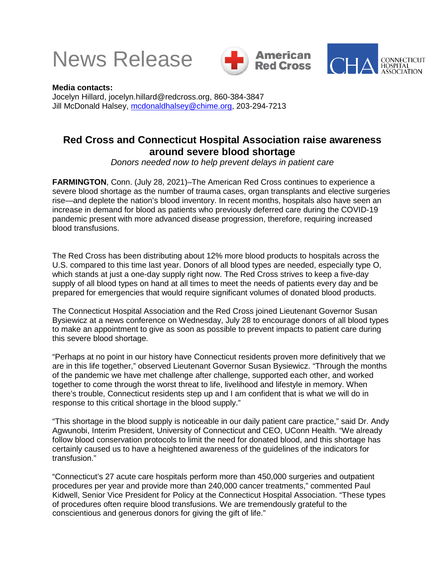





**Media contacts:** Jocelyn Hillard, jocelyn.hillard@redcross.org, 860-384-3847 Jill McDonald Halsey, [mcdonaldhalsey@chime.org,](mailto:mcdonaldhalsey@chime.org) 203-294-7213

## **Red Cross and Connecticut Hospital Association raise awareness around severe blood shortage**

*Donors needed now to help prevent delays in patient care*

**FARMINGTON**, Conn. (July 28, 2021)–The American Red Cross continues to experience a severe blood shortage as the number of trauma cases, organ transplants and elective surgeries rise—and deplete the nation's blood inventory. In recent months, hospitals also have seen an increase in demand for blood as patients who previously deferred care during the COVID-19 pandemic present with more advanced disease progression, therefore, requiring increased blood transfusions.

The Red Cross has been distributing about 12% more blood products to hospitals across the U.S. compared to this time last year. Donors of all blood types are needed, especially type O, which stands at just a one-day supply right now. The Red Cross strives to keep a five-day supply of all blood types on hand at all times to meet the needs of patients every day and be prepared for emergencies that would require significant volumes of donated blood products.

The Connecticut Hospital Association and the Red Cross joined Lieutenant Governor Susan Bysiewicz at a news conference on Wednesday, July 28 to encourage donors of all blood types to make an appointment to give as soon as possible to prevent impacts to patient care during this severe blood shortage.

"Perhaps at no point in our history have Connecticut residents proven more definitively that we are in this life together," observed Lieutenant Governor Susan Bysiewicz. "Through the months of the pandemic we have met challenge after challenge, supported each other, and worked together to come through the worst threat to life, livelihood and lifestyle in memory. When there's trouble, Connecticut residents step up and I am confident that is what we will do in response to this critical shortage in the blood supply."

"This shortage in the blood supply is noticeable in our daily patient care practice," said Dr. Andy Agwunobi, Interim President, University of Connecticut and CEO, UConn Health. "We already follow blood conservation protocols to limit the need for donated blood, and this shortage has certainly caused us to have a heightened awareness of the guidelines of the indicators for transfusion."

"Connecticut's 27 acute care hospitals perform more than 450,000 surgeries and outpatient procedures per year and provide more than 240,000 cancer treatments," commented Paul Kidwell, Senior Vice President for Policy at the Connecticut Hospital Association. "These types of procedures often require blood transfusions. We are tremendously grateful to the conscientious and generous donors for giving the gift of life."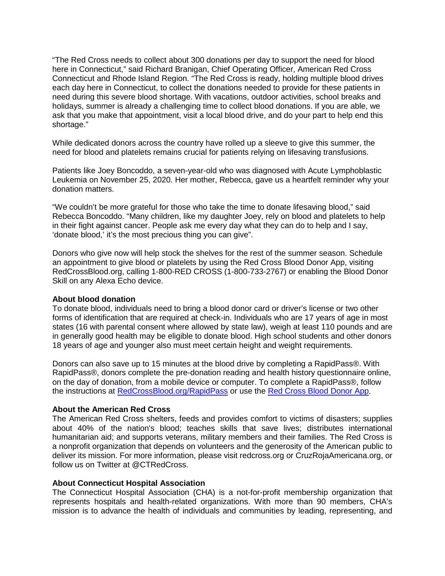"The Red Cross needs to collect about 300 donations per day to support the need for blood here in Connecticut," said Richard Branigan, Chief Operating Officer, American Red Cross Connecticut and Rhode Island Region. "The Red Cross is ready, holding multiple blood drives each day here in Connecticut, to collect the donations needed to provide for these patients in need during this severe blood shortage. With vacations, outdoor activities, school breaks and holidays, summer is already a challenging time to collect blood donations. If you are able, we ask that you make that appointment, visit a local blood drive, and do your part to help end this shortage."

While dedicated donors across the country have rolled up a sleeve to give this summer, the need for blood and platelets remains crucial for patients relying on lifesaving transfusions.

Patients like Joey Boncoddo, a seven-year-old who was diagnosed with Acute Lymphoblastic Leukemia on November 25, 2020. Her mother, Rebecca, gave us a heartfelt reminder why your donation matters.

"We couldn't be more grateful for those who take the time to donate lifesaving blood," said Rebecca Boncoddo. "Many children, like my daughter Joey, rely on blood and platelets to help in their fight against cancer. People ask me every day what they can do to help and I say, 'donate blood,' it's the most precious thing you can give".

Donors who give now will help stock the shelves for the rest of the summer season. Schedule an appointment to give blood or platelets by using the Red Cross Blood Donor App, visiting RedCrossBlood.org, calling 1-800-RED CROSS (1-800-733-2767) or enabling the Blood Donor Skill on any Alexa Echo device.

## **About blood donation**

To donate blood, individuals need to bring a blood donor card or driver's license or two other forms of identification that are required at check-in. Individuals who are 17 years of age in most states (16 with parental consent where allowed by state law), weigh at least 110 pounds and are in generally good health may be eligible to donate blood. High school students and other donors 18 years of age and younger also must meet certain height and weight requirements.

Donors can also save up to 15 minutes at the blood drive by completing a RapidPass®. With RapidPass®, donors complete the pre-donation reading and health history questionnaire online, on the day of donation, from a mobile device or computer. To complete a RapidPass®, follow the instructions at [RedCrossBlood.org/RapidPass](https://nam10.safelinks.protection.outlook.com/?url=https%3A%2F%2Fu7061146.ct.sendgrid.net%2Fls%2Fclick%3Fupn%3D4tNED-2FM8iDZJQyQ53jATUcXdGVqSttYAQkdVhCfX0IBZIHzWvtIl-2Fb3LI-2BjmWW8fF-2FYmRHHfludK1lqNDdRZCQ0LOLH638ugiCElx7k0yUxVHNHaPVGsAXpvAzMOSpbmylLxbTC6cI9N2YftqozzkuCSH03dkI2w8M7-2FOVBxRwMrGrekwODoDaGQPQ-2Fv99E9s1cFduccbG1yQ5sNq2t4jL1dsDVl2ajSeEAXXdgeMel3g56YOLcDNqzCibo3yCZypEOQzBO6pfb6F9d0Cg-2B1y6xQaXMq-2BdFrmEY-2FwYfQjQ-2FxDUksUZ6kI63PIOTRUCVJl7G2JzPNuaMBRiVtmjwoxcEagwkzlp6TQl-2FK-2Fl-2FI9d3F5W7RnDQEOgWWOxzzo0yFPGuxlRh-2FsrAIhR4IUqTkp-2BjcX6MsCAfbk4QWCQAomuULDEWHxhw4OuFbQQfzQ5uLVenJW46raLbiZ5zbxO7kFFpXrvikkdRC14w4AtNtpZE-3DL3AO_URK63rxHNyfi1jEBdkw3ws6t5-2F-2B8PfaWz2chpKgJ5wqY-2FeGMAm5orAOvRZRNF-2Fz5k5X-2FAYor-2BfNX98iMyo99-2BTTCqvbyXSkuIc3YlH1FKahZJ0wV5LDnBJAnAs4JfpbjhKXGYdWe93FeiiSnFMZD9F5nvBucC4TIvA1BpPRRy9oJDbYw72RerzSh-2FQVvX8Y8RHJ-2BKJMkzot7bHGJdUr-2BcGCwxGNJc8oaosihsTqrl8uSnKyIfdAnoa8t-2F-2B8Iz82uCDa1Bjzhbd4WLipINzuThcxTZcUjgfInGB-2BsOryrzwnFwqULgoRo7Y9cyZN5Q81PHJsAjBIUIa-2FXzmQhcK8-2FIAZ4DymfhOy3GHuUXq1Shvc-3D&data=04%7C01%7Cjocelyn.hillard%40redcross.org%7Ce6897093042349d49d7b08d93a23e8d7%7Cdd5b5d42c0d34ad2b5f160edb3af2771%7C0%7C0%7C637604748183891068%7CUnknown%7CTWFpbGZsb3d8eyJWIjoiMC4wLjAwMDAiLCJQIjoiV2luMzIiLCJBTiI6Ik1haWwiLCJXVCI6Mn0%3D%7C1000&sdata=Whwanz224YPCbE3iPiyxZiGN9HdD8NlAn0qYYansD80%3D&reserved=0) or use the [Red Cross Blood Donor App.](https://nam10.safelinks.protection.outlook.com/?url=https%3A%2F%2Fu7061146.ct.sendgrid.net%2Fls%2Fclick%3Fupn%3D4tNED-2FM8iDZJQyQ53jATUcXdGVqSttYAQkdVhCfX0IBZIHzWvtIl-2Fb3LI-2BjmWW8fF-2FYmRHHfludK1lqNDdRZCQ0LOLH638ugiCElx7k0yUxVHNHaPVGsAXpvAzMOSpbmVTfnASRje-2BmiP6nyrsKEgEkePhaGz6SdklYvCxNT1te2KLK4E1HGTJNMh5AQQzcnwbXzUP0mIqS9mNrd80RTA-2F1-2B22c0FtnO-2Bpr1O1XUMCoGAuEIMKc-2B9GBR6RuUUsVV2lqbNO-2F6YVcS8Qh-2FCSY1K4-2F8xNwGKfHujSRBXu50z1AFKBYnn2-2F4NN-2BL1YaSjwgQsrXOx2Mo8O3-2FDrMCqL4SF0NjOkYszr49cAgQwIgq-2Fcgq3FewceSvMb1TKMmAcP7gdkVWSJk0h2abwKAfD4TJdzts7CLbw1jyqMIh5NaLmf9DhIIqh4mtOsn9LlXfodvIx9Q1_URK63rxHNyfi1jEBdkw3ws6t5-2F-2B8PfaWz2chpKgJ5wqY-2FeGMAm5orAOvRZRNF-2Fz5k5X-2FAYor-2BfNX98iMyo99-2BTTCqvbyXSkuIc3YlH1FKahZJ0wV5LDnBJAnAs4JfpbjhKXGYdWe93FeiiSnFMZD9F5nvBucC4TIvA1BpPRRy9oJDbYw72RerzSh-2FQVvX8Y8RHJ-2BKJMkzot7bHGJdUr-2BcDTewfvPdleispmgkDYoFHP2Rzfmlb5hnaz6q3G00bbv3FSrEVDt6SYyt5A-2BKSuCPg4XgGw6ePRCsNJ1QmAYHTrpzUnQN5LSA8r9HdAcs3V4uoAey4Sv8e6fHUb3-2FLRH2opxl1WQzaGPzMCJsRflkBQ-3D&data=04%7C01%7Cjocelyn.hillard%40redcross.org%7Ce6897093042349d49d7b08d93a23e8d7%7Cdd5b5d42c0d34ad2b5f160edb3af2771%7C0%7C0%7C637604748183891068%7CUnknown%7CTWFpbGZsb3d8eyJWIjoiMC4wLjAwMDAiLCJQIjoiV2luMzIiLCJBTiI6Ik1haWwiLCJXVCI6Mn0%3D%7C1000&sdata=aPk4d%2BOXGr0siFhG9o8zmjxJm%2FKGSJzflhTM%2BGNYs2I%3D&reserved=0)

## **About the American Red Cross**

The American Red Cross shelters, feeds and provides comfort to victims of disasters; supplies about 40% of the nation's blood; teaches skills that save lives; distributes international humanitarian aid; and supports veterans, military members and their families. The Red Cross is a nonprofit organization that depends on volunteers and the generosity of the American public to deliver its mission. For more information, please visit redcross.org or CruzRojaAmericana.org, or follow us on Twitter at @CTRedCross.

## **About Connecticut Hospital Association**

The Connecticut Hospital Association (CHA) is a not-for-profit membership organization that represents hospitals and health-related organizations. With more than 90 members, CHA's mission is to advance the health of individuals and communities by leading, representing, and